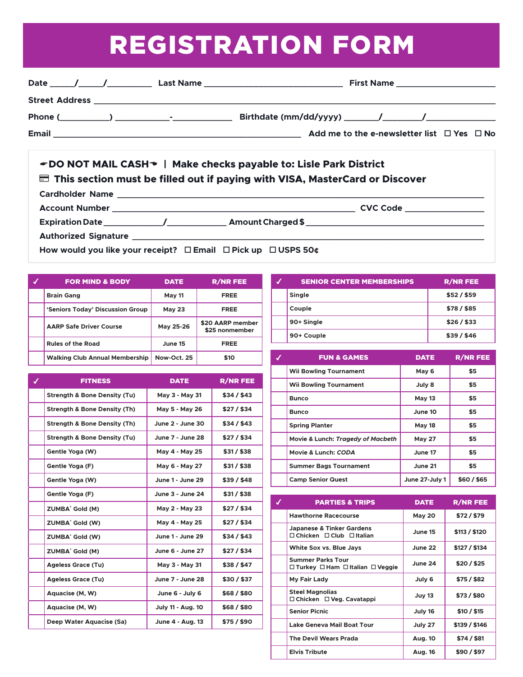## REGISTRATION FORM

| Date                  | $\frac{1}{\sqrt{2}}$ | <b>First Name ________________________</b><br>Last Name _________________________________ |  |                                                      |  |  |
|-----------------------|----------------------|-------------------------------------------------------------------------------------------|--|------------------------------------------------------|--|--|
| <b>Street Address</b> |                      |                                                                                           |  |                                                      |  |  |
|                       |                      |                                                                                           |  |                                                      |  |  |
| Email                 |                      |                                                                                           |  | Add me to the e-newsletter list $\Box$ Yes $\Box$ No |  |  |

## A**DO NOT MAIL CASH**D **| Make checks payable to: Lisle Park District**  $\blacksquare$  This section must be filled out if paying with VISA, MasterCard or Discover **Cardholder Name \_\_\_\_\_\_\_\_\_\_\_\_\_\_\_\_\_\_\_\_\_\_\_\_\_\_\_\_\_\_\_\_\_\_\_\_\_\_\_\_\_\_\_\_\_\_\_\_\_\_\_\_\_\_\_\_\_\_\_\_\_\_\_\_\_\_\_\_\_\_\_\_\_\_ Account Number \_\_\_\_\_\_\_\_\_\_\_\_\_\_\_\_\_\_\_\_\_\_\_\_\_\_\_\_\_\_\_\_\_\_\_\_\_\_\_\_\_\_\_\_\_\_\_\_\_ CVC Code \_\_\_\_\_\_\_\_\_\_\_\_\_\_\_\_**

**Expiration Date \_\_\_\_\_\_\_\_\_\_\_\_/\_\_\_\_\_\_\_\_\_\_\_\_ Amount Charged \$ \_\_\_\_\_\_\_\_\_\_\_\_\_\_\_\_\_\_\_\_\_\_\_\_\_\_\_\_\_\_\_\_\_\_\_\_**

**Authorized Signature \_\_\_\_\_\_\_\_\_\_\_\_\_\_\_\_\_\_\_\_\_\_\_\_\_\_\_\_\_\_\_\_\_\_\_\_\_\_\_\_\_\_\_\_\_\_\_\_\_\_\_\_\_\_\_\_\_\_\_\_\_\_\_\_\_\_\_\_\_\_\_**

**How would you like your receipt? □ Email □ Pick up □ USPS 50¢** 

| <b>FOR MIND &amp; BODY</b>            | <b>DATE</b>   | <b>R/NR FEE</b>                    |
|---------------------------------------|---------------|------------------------------------|
| <b>Brain Gang</b>                     | <b>May 11</b> | <b>FREE</b>                        |
| 'Seniors Today' Discussion Group      | <b>May 23</b> | <b>FREE</b>                        |
| <b>AARP Safe Driver Course</b>        | May 25-26     | \$20 AARP member<br>\$25 nonmember |
| <b>Rules of the Road</b>              | June 15       | <b>FREE</b>                        |
| <b>Walking Club Annual Membership</b> | Now-Oct. 25   | \$10                               |

| <b>FITNESS</b>                          | <b>DATE</b>              | <b>R/NR FEE</b> |
|-----------------------------------------|--------------------------|-----------------|
| <b>Strength &amp; Bone Density (Tu)</b> | May 3 - May 31           | \$34/\$43       |
| <b>Strength &amp; Bone Density (Th)</b> | May 5 - May 26           | $$27/$ \$34     |
| <b>Strength &amp; Bone Density (Th)</b> | June 2 - June 30         | \$34/\$43       |
| <b>Strength &amp; Bone Density (Tu)</b> | June 7 - June 28         | \$27/\$34       |
| Gentle Yoga (W)                         | May 4 - May 25           | \$31/ \$38      |
| Gentle Yoga (F)                         | May 6 - May 27           | \$31/ \$38      |
| Gentle Yoga (W)                         | June 1 - June 29         | \$39/\$48       |
| Gentle Yoga (F)                         | June 3 - June 24         | \$31/ \$38      |
| ZUMBA <sup>®</sup> Gold (M)             | May 2 - May 23           | \$27/\$34       |
| ZUMBA <sup>®</sup> Gold (W)             | May 4 - May 25           | \$27/\$34       |
| ZUMBA <sup>®</sup> Gold (W)             | June 1 - June 29         | \$34/\$43       |
| <b>ZUMBA</b> <sup>®</sup> Gold (M)      | June 6 - June 27         | \$27/\$34       |
| <b>Ageless Grace (Tu)</b>               | May 3 - May 31           | \$38/\$47       |
| <b>Ageless Grace (Tu)</b>               | June 7 - June 28         | \$30 / \$37     |
| Aquacise (M, W)                         | June 6 - July 6          | \$68/\$80       |
| Aquacise (M, W)                         | <b>July 11 - Aug. 10</b> | \$68/\$80       |
| Deep Water Aquacise (Sa)                | June 4 - Aug. 13         | \$75/\$90       |

| <b>SENIOR CENTER MEMBERSHIPS</b> | <b>R/NR FEE</b> |
|----------------------------------|-----------------|
| Single                           | \$52/ \$59      |
| Couple                           | $$78/$ \$85     |
| 90+ Single                       | \$26/\$33       |
| 90+ Couple                       | \$39/\$46       |

| <b>FUN &amp; GAMES</b>            | <b>DATE</b>    | <b>R/NR FEE</b> |
|-----------------------------------|----------------|-----------------|
| <b>Wii Bowling Tournament</b>     | May 6          | \$5             |
| <b>Wii Bowling Tournament</b>     | July 8         | \$5             |
| <b>Bunco</b>                      | <b>May 13</b>  | \$5             |
| <b>Bunco</b>                      | June 10        | \$5             |
| <b>Spring Planter</b>             | <b>May 18</b>  | \$5             |
| Movie & Lunch: Tragedy of Macbeth | <b>May 27</b>  | \$5             |
| Movie & Lunch: CODA               | June 17        | \$5             |
| <b>Summer Bags Tournament</b>     | June 21        | \$5             |
| <b>Camp Senior Quest</b>          | June 27-July 1 | \$60/\$65       |

| <b>PARTIES &amp; TRIPS</b>                                    | <b>DATE</b>   | <b>R/NR FEE</b> |
|---------------------------------------------------------------|---------------|-----------------|
| <b>Hawthorne Racecourse</b>                                   | <b>May 20</b> | \$72/\$79       |
| Japanese & Tinker Gardens<br>□ Chicken □ Club □ Italian       | June 15       | \$113 / \$120   |
| White Sox vs. Blue Jays                                       | June 22       | \$127 / \$134   |
| <b>Summer Parks Tour</b><br>□ Turkey □ Ham □ Italian □ Veggie | June 24       | \$20/\$25       |
| My Fair Lady                                                  | July 6        | \$75 / \$82     |
| <b>Steel Magnolias</b><br>□ Chicken □ Veg. Cavatappi          | <b>Juy 13</b> | \$73/\$80       |
| <b>Senior Picnic</b>                                          | July 16       | \$10/\$15       |
| Lake Geneva Mail Boat Tour                                    | July 27       | \$139 / \$146   |
| <b>The Devil Wears Prada</b>                                  | Aug. 10       | $$74/$ \$81     |
| <b>Elvis Tribute</b>                                          | Aug. 16       | \$90 / \$97     |